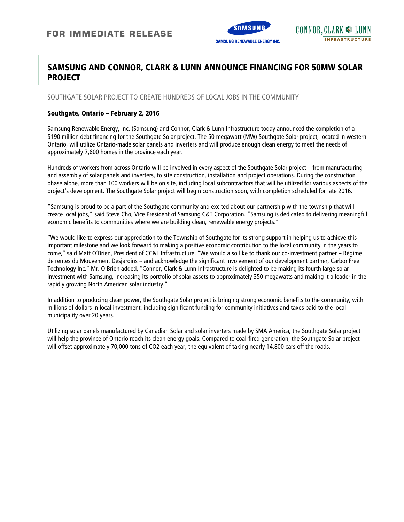

# **SAMSUNG AND CONNOR, CLARK & LUNN ANNOUNCE FINANCING FOR 50MW SOLAR PROJECT**

SOUTHGATE SOLAR PROJECT TO CREATE HUNDREDS OF LOCAL JOBS IN THE COMMUNITY

#### **Southgate, Ontario – February 2, 2016**

Samsung Renewable Energy, Inc. (Samsung) and Connor, Clark & Lunn Infrastructure today announced the completion of a \$190 million debt financing for the Southgate Solar project. The 50 megawatt (MW) Southgate Solar project, located in western Ontario, will utilize Ontario-made solar panels and inverters and will produce enough clean energy to meet the needs of approximately 7,600 homes in the province each year.

Hundreds of workers from across Ontario will be involved in every aspect of the Southgate Solar project – from manufacturing and assembly of solar panels and inverters, to site construction, installation and project operations. During the construction phase alone, more than 100 workers will be on site, including local subcontractors that will be utilized for various aspects of the project's development. The Southgate Solar project will begin construction soon, with completion scheduled for late 2016.

"Samsung is proud to be a part of the Southgate community and excited about our partnership with the township that will create local jobs," said Steve Cho, Vice President of Samsung C&T Corporation. "Samsung is dedicated to delivering meaningful economic benefits to communities where we are building clean, renewable energy projects."

''We would like to express our appreciation to the Township of Southgate for its strong support in helping us to achieve this important milestone and we look forward to making a positive economic contribution to the local community in the years to come," said Matt O'Brien, President of CC&L Infrastructure. "We would also like to thank our co-investment partner - Régime de rentes du Mouvement Desjardins - and acknowledge the significant involvement of our development partner, CarbonFree Technology Inc.'' Mr. O'Brien added, ''Connor, Clark & Lunn Infrastructure is delighted to be making its fourth large solar investment with Samsung, increasing its portfolio of solar assets to approximately 350 megawatts and making it a leader in the rapidly growing North American solar industry.''

In addition to producing clean power, the Southgate Solar project is bringing strong economic benefits to the community, with millions of dollars in local investment, including significant funding for community initiatives and taxes paid to the local municipality over 20 years.

Utilizing solar panels manufactured by Canadian Solar and solar inverters made by SMA America, the Southgate Solar project will help the province of Ontario reach its clean energy goals. Compared to coal-fired generation, the Southgate Solar project will offset approximately 70,000 tons of CO2 each year, the equivalent of taking nearly 14,800 cars off the roads.